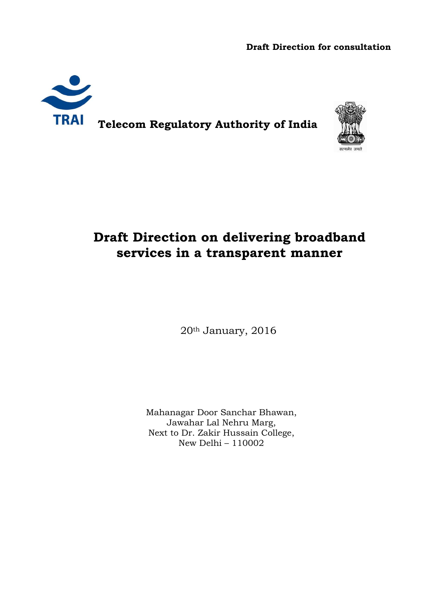**Draft Direction for consultation** 



**TRAI** Telecom Regulatory Authority of India



## **Draft Direction on delivering broadband services in a transparent manner**

20th January, 2016

Mahanagar Door Sanchar Bhawan, Jawahar Lal Nehru Marg, Next to Dr. Zakir Hussain College, New Delhi – 110002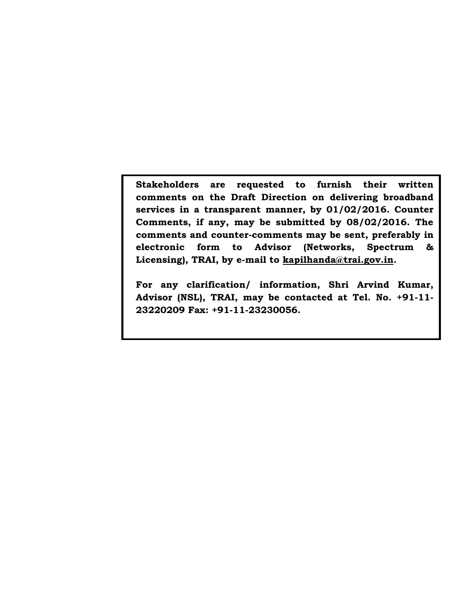**Stakeholders are requested to furnish their written comments on the Draft Direction on delivering broadband services in a transparent manner, by 01/02/2016. Counter Comments, if any, may be submitted by 08/02/2016. The comments and counter-comments may be sent, preferably in electronic form to Advisor (Networks, Spectrum & Licensing), TRAI, by e-mail to kapilhanda@trai.gov.in.**

**For any clarification/ information, Shri Arvind Kumar, Advisor (NSL), TRAI, may be contacted at Tel. No. +91-11- 23220209 Fax: +91-11-23230056.**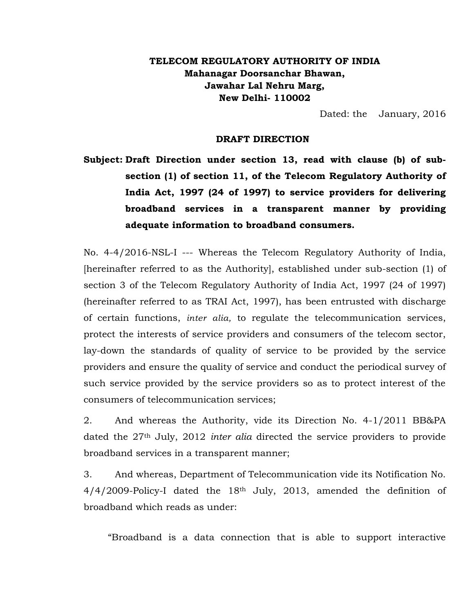## **TELECOM REGULATORY AUTHORITY OF INDIA Mahanagar Doorsanchar Bhawan, Jawahar Lal Nehru Marg, New Delhi- 110002**

Dated: the January, 2016

## **DRAFT DIRECTION**

**Subject: Draft Direction under section 13, read with clause (b) of subsection (1) of section 11, of the Telecom Regulatory Authority of India Act, 1997 (24 of 1997) to service providers for delivering broadband services in a transparent manner by providing adequate information to broadband consumers.**

No. 4-4/2016-NSL-I --- Whereas the Telecom Regulatory Authority of India, [hereinafter referred to as the Authority], established under sub-section (1) of section 3 of the Telecom Regulatory Authority of India Act, 1997 (24 of 1997) (hereinafter referred to as TRAI Act, 1997), has been entrusted with discharge of certain functions, *inter alia,* to regulate the telecommunication services, protect the interests of service providers and consumers of the telecom sector, lay-down the standards of quality of service to be provided by the service providers and ensure the quality of service and conduct the periodical survey of such service provided by the service providers so as to protect interest of the consumers of telecommunication services;

2. And whereas the Authority, vide its Direction No. 4-1/2011 BB&PA dated the 27th July, 2012 *inter alia* directed the service providers to provide broadband services in a transparent manner;

3. And whereas, Department of Telecommunication vide its Notification No.  $4/4/2009$ -Policy-I dated the  $18<sup>th</sup>$  July, 2013, amended the definition of broadband which reads as under:

"Broadband is a data connection that is able to support interactive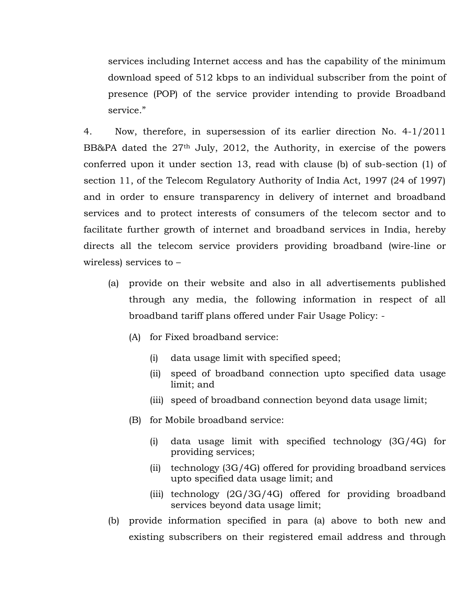services including Internet access and has the capability of the minimum download speed of 512 kbps to an individual subscriber from the point of presence (POP) of the service provider intending to provide Broadband service."

4. Now, therefore, in supersession of its earlier direction No. 4-1/2011 BB&PA dated the 27<sup>th</sup> July, 2012, the Authority, in exercise of the powers conferred upon it under section 13, read with clause (b) of sub-section (1) of section 11, of the Telecom Regulatory Authority of India Act, 1997 (24 of 1997) and in order to ensure transparency in delivery of internet and broadband services and to protect interests of consumers of the telecom sector and to facilitate further growth of internet and broadband services in India, hereby directs all the telecom service providers providing broadband (wire-line or wireless) services to –

- (a) provide on their website and also in all advertisements published through any media, the following information in respect of all broadband tariff plans offered under Fair Usage Policy: -
	- (A) for Fixed broadband service:
		- (i) data usage limit with specified speed;
		- (ii) speed of broadband connection upto specified data usage limit; and
		- (iii) speed of broadband connection beyond data usage limit;
	- (B) for Mobile broadband service:
		- (i) data usage limit with specified technology (3G/4G) for providing services;
		- (ii) technology (3G/4G) offered for providing broadband services upto specified data usage limit; and
		- (iii) technology (2G/3G/4G) offered for providing broadband services beyond data usage limit;
- (b) provide information specified in para (a) above to both new and existing subscribers on their registered email address and through